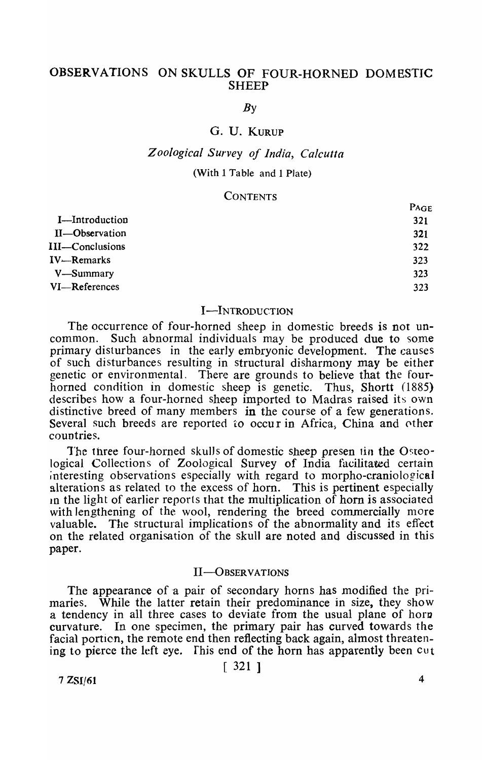# OBSERVATIONS ON SKULLS OF FOUR-HORNED DOMBSTIC **SHEEP**

*By* 

# G. U. KURUP

## *Z o%gica/ Survey of India, Calcutta*

### (With 1 Table and 1 Plate)

#### **CONTENTS**

|                 | $P_{AGE}$ |
|-----------------|-----------|
| I-Introduction  | 321       |
| II-Observation  | 321       |
| III—Conclusions | 322       |
| IV—Remarks      | 323       |
| V—Summary       | 323       |
| VI-References   | 323       |
|                 |           |

#### I-INTRODUCTION

The occurrence of four-horned sheep in domestic breeds is not uncommon. Such abnormal individuals may be produced due to some Such abnormal individuals may be produced due to some primary disturbances in the early embryonic development. The causes of such disturbances resulting in structural disharmony may be either genetic or environmental. There are grounds to believe that the fourhorned condition in domestic sheep is genetic. Thus, Shortt (1885) describes how a four-horned sheep imported to Madras raised its own distinctive breed of many members in the course of a few generations. Several such breeds are reported to occur in Africa. China and other countries.

The three four-horned skulls of domestic sheep presen tin the Osteological Collections of Zoological Survey of India facilitated certain interesting observations especially with regard to morpho-craniological alterations as related to the excess of horn. This is pertinent especially In the light of earlier reports that the multiplication of horn is associated with lengthening of the wool, rendering the breed commercially more valuable. The structural implications of the abnormality and its effect on the related organisation of the skull are noted and discussed in this paper.

#### II-OBSERVATIONS

The appearance of a pair of secondary horns has modified the primaries. While the latter retain their predominance in size, they show a tendency in all three cases to deviate from the usual plane of horn curvature. In one specimen, the primary pair has curved towards the facial portion, the remote end then reflecting back again, almost threatening to pierce the left eye. This end of the horn has apparently been  $\cot t$ 

 $[321]$ 

 $7 ZSI/61$  4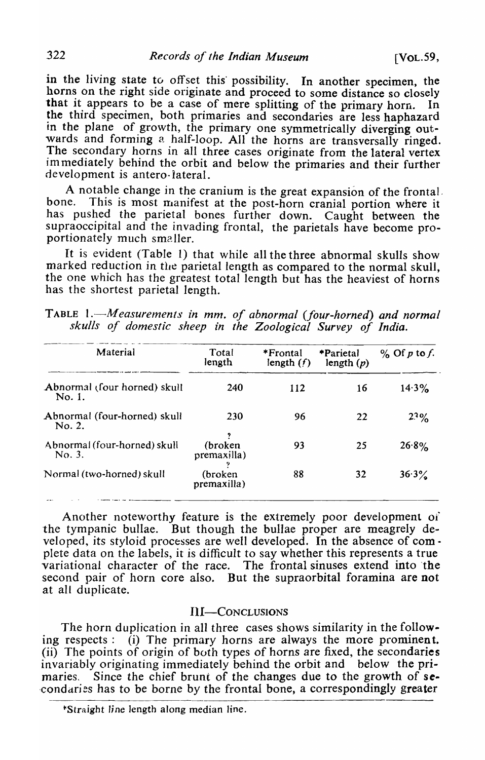in the living state to offset this possibility. In another specimen, the horns on the right side originate and proceed to some distance so closely that it appears to be a case of mere splitting of the primary horn. the third specimen, both primaries and secondaries are less haphazard in the plane of growth, the primary one symmetrically diverging outwards and forming a half-loop. All the horns are transversally ringed. The secondary horns in all three cases originate from the lateral vertex im mediately behind the orbit and below the primaries and their further development is antero-lateral.

A notable change in the cranium is the great expansion of the frontal, bone. This is most manifest at the post-horn cranial portion where it has pushed the parietal bones further down. Caught between the supraoccipital and the invading frontal, the parietals have become proportionately much smaller.

It is evident (Table 1) that while all the three abnormal skulls show marked reduction in the parietal length as compared to the normal skull, the one which has the greatest total length but has the heaviest of horns has the shortest parietal length.

| Material                               | Total<br>length        | *Frontal<br>length $(f)$ | *Parietal<br>length $(p)$ | $\%$ Of p to f. |
|----------------------------------------|------------------------|--------------------------|---------------------------|-----------------|
| Abnormal (four horned) skull<br>No. 1. | 240                    | 112                      | 16                        | $14.3\%$        |
| Abnormal (four-horned) skull<br>No. 2. | 230                    | 96                       | 22                        | $2.3\%$         |
| Abnormal (four-horned) skull<br>No. 3. | (broken<br>premaxilla) | 93                       | 25                        | 26.8%           |
| Normal (two-horned) skull              | (broken<br>premaxilla) | 88                       | 32                        | $36.3\%$        |

TABLE 1.<sup>-</sup>Measurements in mm. of abnormal (four-horned) and normal *skulls of domestic sheep in the Zoological Survey of India.*  ----------\_ .... \_-----------------------

Another noteworthy feature is the extremely poor development of the tympanic bullae. But though the bullae proper are meagrely developed, its styloid processes are well developed. In the absence of com· plete data on the labels, it is difficult to say whether this represents a true variational character of the race. The frontal sinuses extend into 'the second pair of horn core also. But the supraorbital foramina are not at all duplicate.

## Ill-CONCLUSIONS

The horn duplication in all three cases shows similarity in the following respects: (i) The primary horns are always the more prominent. (ii) The points of origin of buth types of horns are fixed, the secondaries invariably originating immediately behind the orbit and below the primaries. Since the chief brunt of the changes due to the growth of secondaries has to be borne by the frontal bone, a correspondingly greater

<sup>\*</sup>Straight line length along median line.